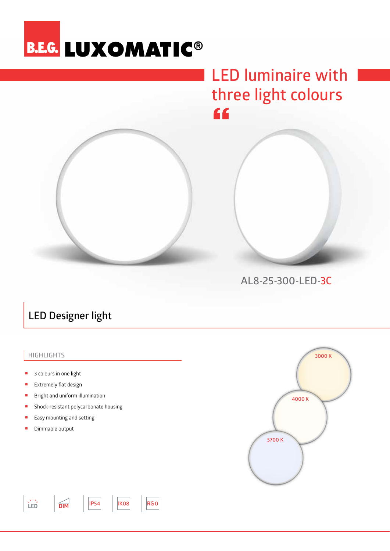## **B.E.G. LUXOMATIC®**

## **LED luminaire with three light colours**  $66$



**AL8-25-300-LED-3C**

### **LED Designer light**

### **Highlights**

- 3 colours in one light
- Extremely flat design
- Bright and uniform illumination
- Shock-resistant polycarbonate housing
- Easy mounting and setting

**LED DIM IP54**

**IK08 RG0**

Dimmable output